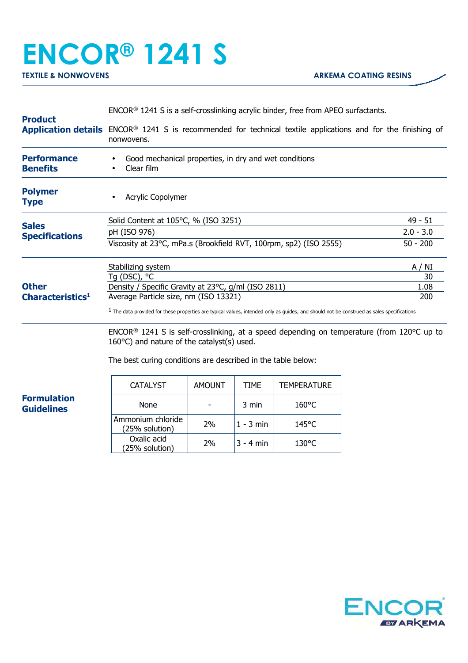## **ENCOR® 1241 S**

| <b>Product</b>                               | ENCOR <sup>®</sup> 1241 S is a self-crosslinking acrylic binder, free from APEO surfactants.                                                                                                                           |               |             |                    |  |             |  |
|----------------------------------------------|------------------------------------------------------------------------------------------------------------------------------------------------------------------------------------------------------------------------|---------------|-------------|--------------------|--|-------------|--|
|                                              | <b>Application details</b> ENCOR® 1241 S is recommended for technical textile applications and for the finishing of<br>nonwovens.                                                                                      |               |             |                    |  |             |  |
| <b>Performance</b><br><b>Benefits</b>        | Good mechanical properties, in dry and wet conditions<br>Clear film                                                                                                                                                    |               |             |                    |  |             |  |
| <b>Polymer</b><br><b>Type</b>                | Acrylic Copolymer                                                                                                                                                                                                      |               |             |                    |  |             |  |
| <b>Sales</b><br><b>Specifications</b>        | Solid Content at 105°C, % (ISO 3251)                                                                                                                                                                                   |               |             |                    |  | $49 - 51$   |  |
|                                              | pH (ISO 976)                                                                                                                                                                                                           |               |             |                    |  | $2.0 - 3.0$ |  |
|                                              | Viscosity at 23°C, mPa.s (Brookfield RVT, 100rpm, sp2) (ISO 2555)                                                                                                                                                      |               |             |                    |  | $50 - 200$  |  |
| <b>Other</b><br>Characteristics <sup>1</sup> | Stabilizing system                                                                                                                                                                                                     |               |             |                    |  | A / NI      |  |
|                                              | Tq (DSC), °C                                                                                                                                                                                                           |               |             |                    |  | 30          |  |
|                                              | Density / Specific Gravity at 23°C, g/ml (ISO 2811)                                                                                                                                                                    |               |             |                    |  | 1.08        |  |
|                                              | Average Particle size, nm (ISO 13321)<br>200                                                                                                                                                                           |               |             |                    |  |             |  |
|                                              | $1$ The data provided for these properties are typical values, intended only as guides, and should not be construed as sales specifications                                                                            |               |             |                    |  |             |  |
|                                              | $ENCOR®$ 1241 S is self-crosslinking, at a speed depending on temperature (from 120 $°C$ up to<br>$160^{\circ}$ C) and nature of the catalyst(s) used.<br>The best curing conditions are described in the table below: |               |             |                    |  |             |  |
|                                              | <b>CATALYST</b>                                                                                                                                                                                                        | <b>AMOUNT</b> | <b>TIME</b> | <b>TEMPERATURE</b> |  |             |  |
| <b>Formulation</b><br><b>Guidelines</b>      | None                                                                                                                                                                                                                   |               | 3 min       | $160^{\circ}$ C    |  |             |  |
|                                              | Ammonium chloride<br>(25% solution)                                                                                                                                                                                    | 2%            | $1 - 3$ min | 145°C              |  |             |  |
|                                              | Oxalic acid<br>(25% solution)                                                                                                                                                                                          | 2%            | 3 - 4 min   | 130°C              |  |             |  |